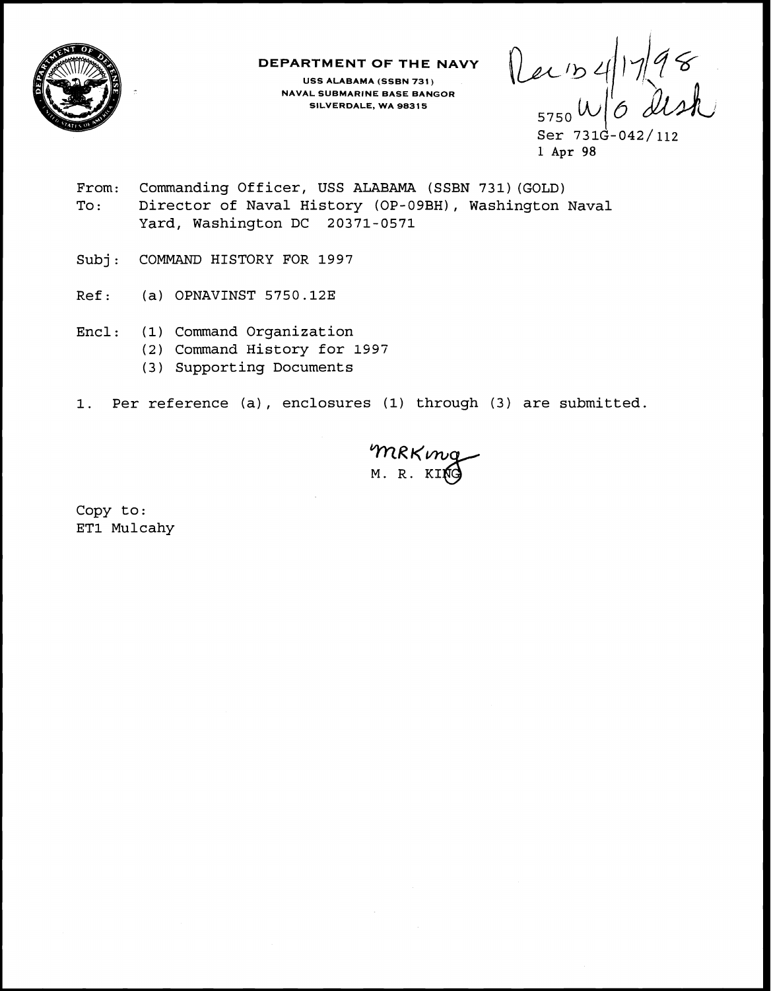

### **DEPARTMENT OF THE NAVY**

**USS ALABAMA (SSBN 731) NAVAL SUBMARINE BASE BANGOR SILVERDALE, WA 98315** 

Recis41798

 $Ser 731G-042/112$ **1 Apr 98** 

- From: Commanding Officer, USS ALABAMA (SSBN 731) (GOLD) To: Director of Naval History (OP-09BH), Washington Naval Yard, Washington DC 20371-0571
- Subj: COMMAND HISTORY FOR 1997
- Ref: (a) OPNAVINST 5750.12E
- Encl: (1) Command Organization
	- (2) Command History for **1595**
	- (3) Supporting Documents
- 1. Per reference (a) , enclosures (1) through (3) are submitted.

MRKmg

Copy to: ET1 Mulcahy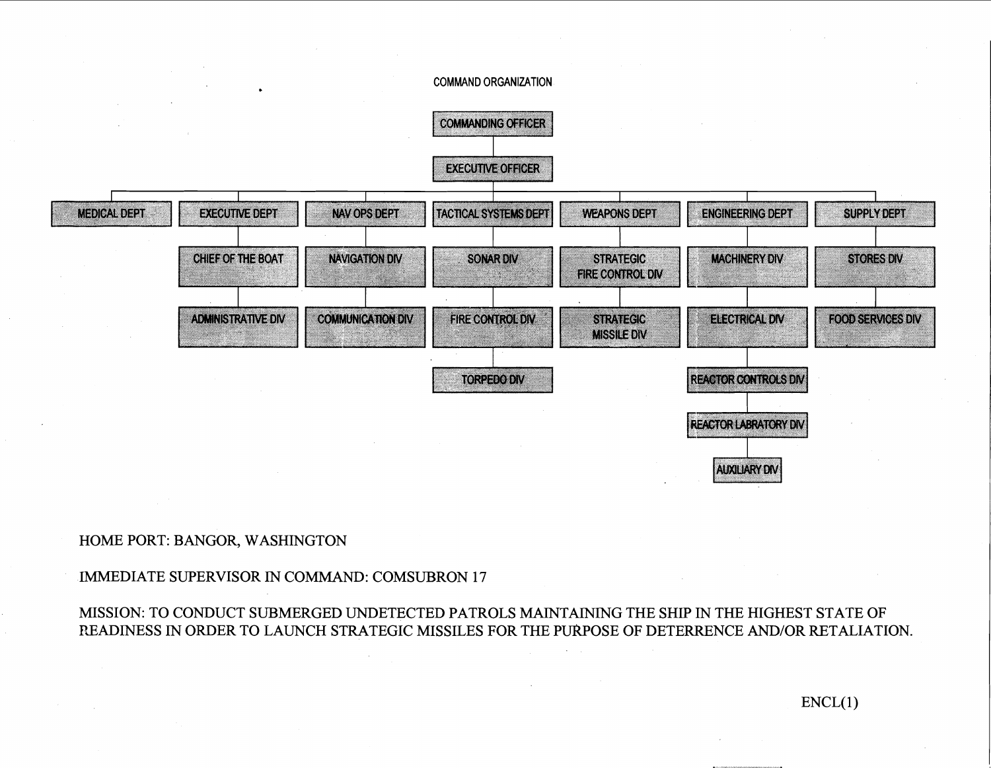#### **COMMAND ORGANIZATION**



## HOME PORT: BANGOR, WASHINGTON

# IMMEDIATE SUPERVISOR IN COMMAND: COMSUBRON 17

MISSION: TO CONDUCT SUBMERGED UNDETECTED PATROLS MAINTAINING THE SHIP **IN** THE HIGHEST STATE OF READINESS IN ORDER TO LAUNCH STRATEGIC MISSILES FOR THE PUkPOSE OF DETERRENCE AND/OR RETALIATION.

 $ENCL(1)$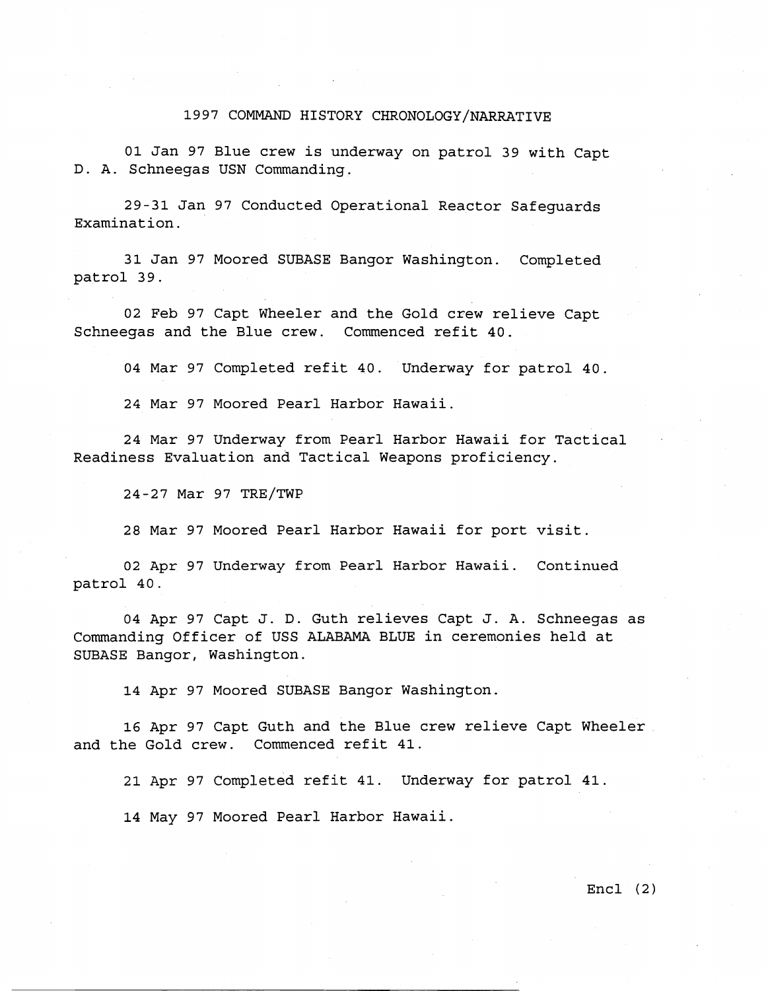### 1997 COMMAND HISTORY CHRONOLOGY/NARRATIVE

01 Jan 97 Blue crew is underway on patrol 39 with Capt D. A. Schneegas USN Commanding.

29-31 Jan 97 Conducted Operational Reactor Safeguards Examination.

31 Jan 97 Moored SUBASE Bangor Washington. Completed patrol 39.

02 Feb 97 Capt Wheeler and the Gold crew relieve Capt Schneegas and the Blue crew. Commenced refit 40.

04 Mar 97 Completed refit 40. Underway for patrol 40.

24 Mar 97 Moored Pearl Harbor Hawaii.

24 Mar 97 Underway from Pearl Harbor Hawaii for Tactical Readiness Evaluation and Tactical Weapons proficiency.

24-27 Mar 97 TRE/TWP

28 Mar 97 Moored Pearl Harbor Hawaii for port visit.

02 Apr 97 Underway from Pearl Harbor Hawaii. Continued patrol 40.

04 Apr 97 Capt J. D. Guth relieves Capt J. A. Schneegas as Commanding Officer of USS ALABAMA BLUE in ceremonies held at SUBASE Bangor, Washington.

14 Apr 97 Moored SUBASE Bangor Washington.

16 Apr 97 Capt Guth and the Blue crew relieve Capt Wheeler and the Gold crew. Commenced refit 41.

21 Apr 97 completed refit 41. Underway for patrol 41.

14 May 97 Moored Pearl Harbor Hawaii.

Encl (2)